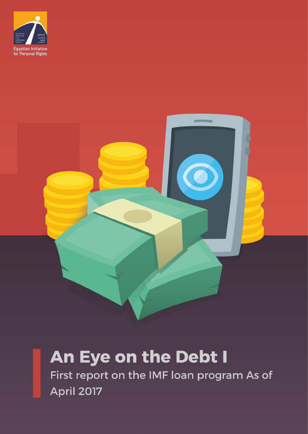



# An Eye on the Debt I

First report on the IMF loan program As of **April 2017**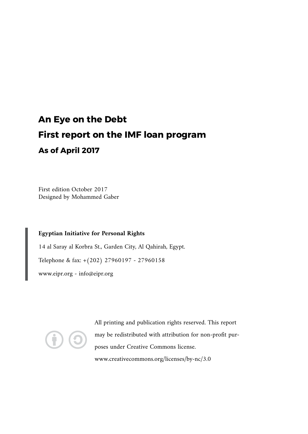## **An Eye on the Debt First report on the IMF loan program As of April 2017**

First edition October 2017 Designed by Mohammed Gaber

#### **Egyptian Initiative for Personal Rights**

14 al Saray al Korbra St., Garden City, Al Qahirah, Egypt. Telephone & fax: +(202) 27960197 - 27960158 www.eipr.org - info@eipr.org



All printing and publication rights reserved. This report may be redistributed with attribution for non-profit purposes under Creative Commons license. www.creativecommons.org/licenses/by-nc/3.0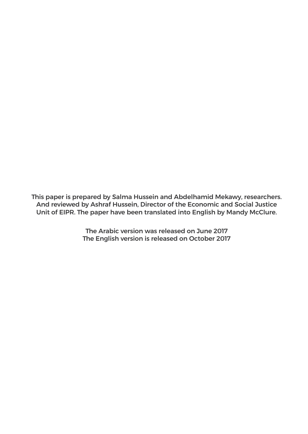This paper is prepared by Salma Hussein and Abdelhamid Mekawy, researchers. And reviewed by Ashraf Hussein, Director of the Economic and Social Justice Unit of EIPR. The paper have been translated into English by Mandy McClure.

> The Arabic version was released on June 2017 The English version is released on October 2017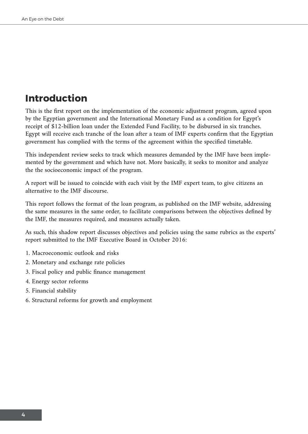## **Introduction**

This is the first report on the implementation of the economic adjustment program, agreed upon by the Egyptian government and the International Monetary Fund as a condition for Egypt's receipt of \$12-billion loan under the Extended Fund Facility, to be disbursed in six tranches. Egypt will receive each tranche of the loan after a team of IMF experts confirm that the Egyptian government has complied with the terms of the agreement within the specified timetable.

This independent review seeks to track which measures demanded by the IMF have been implemented by the government and which have not. More basically, it seeks to monitor and analyze the the socioeconomic impact of the program.

A report will be issued to coincide with each visit by the IMF expert team, to give citizens an alternative to the IMF discourse.

This report follows the format of the loan program, as published on the IMF website, addressing the same measures in the same order, to facilitate comparisons between the objectives defined by the IMF, the measures required, and measures actually taken.

As such, this shadow report discusses objectives and policies using the same rubrics as the experts' report submitted to the IMF Executive Board in October 2016:

- 1. Macroeconomic outlook and risks
- 2. Monetary and exchange rate policies
- 3. Fiscal policy and public finance management
- 4. Energy sector reforms
- 5. Financial stability
- 6. Structural reforms for growth and employment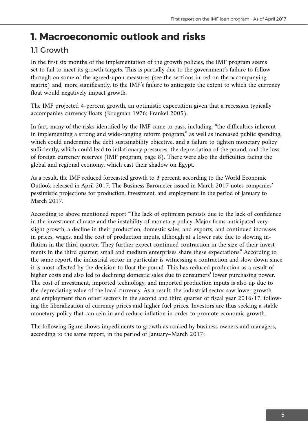## **1. Macroeconomic outlook and risks**

#### 11 Growth

In the first six months of the implementation of the growth policies, the IMF program seems set to fail to meet its growth targets. This is partially due to the government's failure to follow through on some of the agreed-upon measures (see the sections in red on the accompanying matrix) and, more significantly, to the IMF's failure to anticipate the extent to which the currency float would negatively impact growth.

The IMF projected 4-percent growth, an optimistic expectation given that a recession typically accompanies currency floats (Krugman 1976; Frankel 2005).

In fact, many of the risks identified by the IMF came to pass, including: "the difficulties inherent in implementing a strong and wide-ranging reform program," as well as increased public spending, which could undermine the debt sustainability objective, and a failure to tighten monetary policy sufficiently, which could lead to inflationary pressures, the depreciation of the pound, and the loss of foreign currency reserves (IMF program, page 8). There were also the difficulties facing the global and regional economy, which cast their shadow on Egypt.

As a result, the IMF reduced forecasted growth to 3 percent, according to the World Economic Outlook released in April 2017. The Business Barometer issued in March 2017 notes companies' pessimistic projections for production, investment, and employment in the period of January to March 2017.

According to above mentioned report "The lack of optimism persists due to the lack of confidence in the investment climate and the instability of monetary policy. Major firms anticipated very slight growth, a decline in their production, domestic sales, and exports, and continued increases in prices, wages, and the cost of production inputs, although at a lower rate due to slowing inflation in the third quarter. They further expect continued contraction in the size of their investments in the third quarter; small and medium enterprises share these expectations." According to the same report, the industrial sector in particular is witnessing a contraction and slow down since it is most affected by the decision to float the pound. This has reduced production as a result of higher costs and also led to declining domestic sales due to consumers' lower purchasing power. The cost of investment, imported technology, and imported production inputs is also up due to the depreciating value of the local currency. As a result, the industrial sector saw lower growth and employment than other sectors in the second and third quarter of fiscal year 2016/17, following the liberalization of currency prices and higher fuel prices. Investors are thus seeking a stable monetary policy that can rein in and reduce inflation in order to promote economic growth.

The following figure shows impediments to growth as ranked by business owners and managers, according to the same report, in the period of January–March 2017: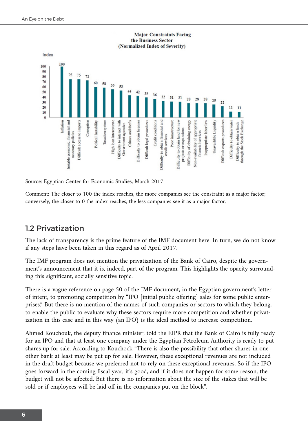

#### **Major Constraints Facing** the Business Sector (Normalized Index of Severity)

Source: Egyptian Center for Economic Studies, March 2017

Comment: The closer to 100 the index reaches, the more companies see the constraint as a major factor; conversely, the closer to 0 the index reaches, the less companies see it as a major factor.

#### 1.2 Privatization

The lack of transparency is the prime feature of the IMF document here. In turn, we do not know if any steps have been taken in this regard as of April 2017.

The IMF program does not mention the privatization of the Bank of Cairo, despite the government's announcement that it is, indeed, part of the program. This highlights the opacity surrounding this significant, socially sensitive topic.

There is a vague reference on page 50 of the IMF document, in the Egyptian government's letter of intent, to promoting competition by "IPO [initial public offering] sales for some public enterprises." But there is no mention of the names of such companies or sectors to which they belong, to enable the public to evaluate why these sectors require more competition and whether privatization in this case and in this way (an IPO) is the ideal method to increase competition.

Ahmed Kouchouk, the deputy finance minister, told the EIPR that the Bank of Cairo is fully ready for an IPO and that at least one company under the Egyptian Petroleum Authority is ready to put shares up for sale. According to Kouchock "There is also the possibility that other shares in one other bank at least may be put up for sale. However, these exceptional revenues are not included in the draft budget because we preferred not to rely on these exceptional revenues. So if the IPO goes forward in the coming fiscal year, it's good, and if it does not happen for some reason, the budget will not be affected. But there is no information about the size of the stakes that will be sold or if employees will be laid off in the companies put on the block".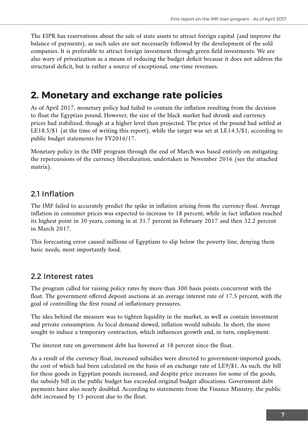The EIPR has reservations about the sale of state assets to attract foreign capital (and improve the balance of payments), as such sales are not necessarily followed by the development of the sold companies. It is preferable to attract foreign investment through green field investments. We are also wary of privatization as a means of reducing the budget deficit because it does not address the structural deficit, but is rather a source of exceptional, one-time revenues.

## **2. Monetary and exchange rate policies**

As of April 2017, monetary policy had failed to contain the inflation resulting from the decision to float the Egyptian pound. However, the size of the black market had shrunk and currency prices had stabilized, though at a higher level than projected. The price of the pound had settled at LE18.5/\$1 (at the time of writing this report), while the target was set at LE14.5/\$1, according to public budget statements for FY2016/17.

Monetary policy in the IMF program through the end of March was based entirely on mitigating the repercussions of the currency liberalization, undertaken in November 2016 (see the attached matrix).

### 2.1 Inflation

The IMF failed to accurately predict the spike in inflation arising from the currency float. Average inflation in consumer prices was expected to increase to 18 percent, while in fact inflation reached its highest point in 30 years, coming in at 31.7 percent in February 2017 and then 32.2 percent in March 2017.

This forecasting error caused millions of Egyptians to slip below the poverty line, denying them basic needs, most importantly food.

#### 2.2 Interest rates

The program called for raising policy rates by more than 300 basis points concurrent with the float. The government offered deposit auctions at an average interest rate of 17.5 percent, with the goal of controlling the first round of inflationary pressures.

The idea behind the measure was to tighten liquidity in the market, as well as contain investment and private consumption. As local demand slowed, inflation would subside. In short, the move sought to induce a temporary contraction, which influences growth and, in turn, employment.

The interest rate on government debt has hovered at 18 percent since the float.

As a result of the currency float, increased subsidies were directed to government-imported goods, the cost of which had been calculated on the basis of an exchange rate of LE9/\$1. As such, the bill for these goods in Egyptian pounds increased, and despite price increases for some of the goods, the subsidy bill in the public budget has exceeded original budget allocations. Government debt payments have also nearly doubled. According to statements from the Finance Ministry, the public debt increased by 15 percent due to the float.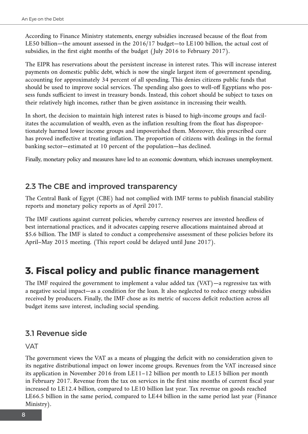According to Finance Ministry statements, energy subsidies increased because of the float from LE50 billion—the amount assessed in the 2016/17 budget—to LE100 billion, the actual cost of subsidies, in the first eight months of the budget (July 2016 to February 2017).

The EIPR has reservations about the persistent increase in interest rates. This will increase interest payments on domestic public debt, which is now the single largest item of government spending, accounting for approximately 34 percent of all spending. This denies citizens public funds that should be used to improve social services. The spending also goes to well-off Egyptians who possess funds sufficient to invest in treasury bonds. Instead, this cohort should be subject to taxes on their relatively high incomes, rather than be given assistance in increasing their wealth.

In short, the decision to maintain high interest rates is biased to high-income groups and facilitates the accumulation of wealth, even as the inflation resulting from the float has disproportionately harmed lower income groups and impoverished them. Moreover, this prescribed cure has proved ineffective at treating inflation. The proportion of citizens with dealings in the formal banking sector—estimated at 10 percent of the population—has declined.

Finally, monetary policy and measures have led to an economic downturn, which increases unemployment.

#### 2.3 The CBE and improved transparency

The Central Bank of Egypt (CBE) had not complied with IMF terms to publish financial stability reports and monetary policy reports as of April 2017.

The IMF cautions against current policies, whereby currency reserves are invested heedless of best international practices, and it advocates capping reserve allocations maintained abroad at \$5.6 billion. The IMF is slated to conduct a comprehensive assessment of these policies before its April–May 2015 meeting. (This report could be delayed until June 2017).

## **3. Fiscal policy and public finance management**

The IMF required the government to implement a value added tax (VAT)—a regressive tax with a negative social impact—as a condition for the loan. It also neglected to reduce energy subsidies received by producers. Finally, the IMF chose as its metric of success deficit reduction across all budget items save interest, including social spending.

#### 3.1 Revenue side

#### VAT

The government views the VAT as a means of plugging the deficit with no consideration given to its negative distributional impact on lower income groups. Revenues from the VAT increased since its application in November 2016 from LE11–12 billion per month to LE15 billion per month in February 2017. Revenue from the tax on services in the first nine months of current fiscal year increased to LE12.4 billion, compared to LE10 billion last year. Tax revenue on goods reached LE66.5 billion in the same period, compared to LE44 billion in the same period last year (Finance Ministry).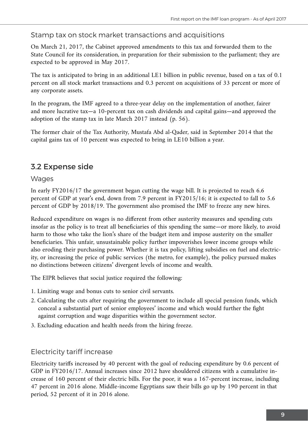#### Stamp tax on stock market transactions and acquisitions

On March 21, 2017, the Cabinet approved amendments to this tax and forwarded them to the State Council for its consideration, in preparation for their submission to the parliament; they are expected to be approved in May 2017.

The tax is anticipated to bring in an additional LE1 billion in public revenue, based on a tax of 0.1 percent on all stock market transactions and 0.3 percent on acquisitions of 33 percent or more of any corporate assets.

In the program, the IMF agreed to a three-year delay on the implementation of another, fairer and more lucrative tax—a 10-percent tax on cash dividends and capital gains—and approved the adoption of the stamp tax in late March 2017 instead (p. 56).

The former chair of the Tax Authority, Mustafa Abd al-Qader, said in September 2014 that the capital gains tax of 10 percent was expected to bring in LE10 billion a year.

#### 3.2 Expense side

#### **Wages**

In early FY2016/17 the government began cutting the wage bill. It is projected to reach 6.6 percent of GDP at year's end, down from 7.9 percent in FY2015/16; it is expected to fall to 5.6 percent of GDP by 2018/19. The government also promised the IMF to freeze any new hires.

Reduced expenditure on wages is no different from other austerity measures and spending cuts insofar as the policy is to treat all beneficiaries of this spending the same—or more likely, to avoid harm to those who take the lion's share of the budget item and impose austerity on the smaller beneficiaries. This unfair, unsustainable policy further impoverishes lower income groups while also eroding their purchasing power. Whether it is tax policy, lifting subsidies on fuel and electricity, or increasing the price of public services (the metro, for example), the policy pursued makes no distinctions between citizens' divergent levels of income and wealth.

The EIPR believes that social justice required the following:

- 1. Limiting wage and bonus cuts to senior civil servants.
- 2. Calculating the cuts after requiring the government to include all special pension funds, which conceal a substantial part of senior employees' income and which would further the fight against corruption and wage disparities within the government sector.
- 3. Excluding education and health needs from the hiring freeze.

#### Electricity tariff increase

Electricity tariffs increased by 40 percent with the goal of reducing expenditure by 0.6 percent of GDP in FY2016/17. Annual increases since 2012 have shouldered citizens with a cumulative increase of 160 percent of their electric bills. For the poor, it was a 167-percent increase, including 47 percent in 2016 alone. Middle-income Egyptians saw their bills go up by 190 percent in that period, 52 percent of it in 2016 alone.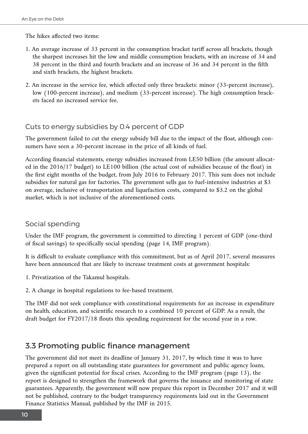The hikes affected two items:

- 1. An average increase of 33 percent in the consumption bracket tariff across all brackets, though the sharpest increases hit the low and middle consumption brackets, with an increase of 34 and 38 percent in the third and fourth brackets and an increase of 36 and 34 percent in the fifth and sixth brackets, the highest brackets.
- 2. An increase in the service fee, which affected only three brackets: minor (33-percent increase), low (100-percent increase), and medium (33-percent increase). The high consumption brackets faced no increased service fee.

#### Cuts to energy subsidies by 0.4 percent of GDP

The government failed to cut the energy subsidy bill due to the impact of the float, although consumers have seen a 30-percent increase in the price of all kinds of fuel.

According financial statements, energy subsidies increased from LE50 billion (the amount allocated in the 2016/17 budget) to LE100 billion (the actual cost of subsidies because of the float) in the first eight months of the budget, from July 2016 to February 2017. This sum does not include subsidies for natural gas for factories. The government sells gas to fuel-intensive industries at \$3 on average, inclusive of transportation and liquefaction costs, compared to \$3.2 on the global market, which is not inclusive of the aforementioned costs.

#### Social spending

Under the IMF program, the government is committed to directing 1 percent of GDP (one-third of fiscal savings) to specifically social spending (page 14, IMF program).

It is difficult to evaluate compliance with this commitment, but as of April 2017, several measures have been announced that are likely to increase treatment costs at government hospitals:

1. Privatization of the Takamul hospitals.

2. A change in hospital regulations to fee-based treatment.

The IMF did not seek compliance with constitutional requirements for an increase in expenditure on health, education, and scientific research to a combined 10 percent of GDP. As a result, the draft budget for FY2017/18 flouts this spending requirement for the second year in a row.

#### 3.3 Promoting public finance management

The government did not meet its deadline of January 31, 2017, by which time it was to have prepared a report on all outstanding state guarantees for government and public agency loans, given the significant potential for fiscal crises. According to the IMF program (page 13), the report is designed to strengthen the framework that governs the issuance and monitoring of state guarantees. Apparently, the government will now prepare this report in December 2017 and it will not be published, contrary to the budget transparency requirements laid out in the Government Finance Statistics Manual, published by the IMF in 2015.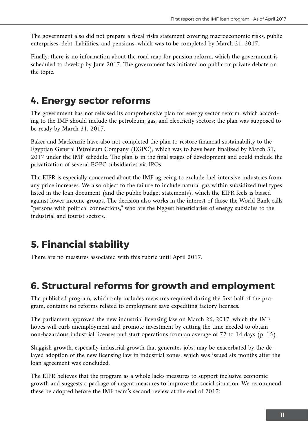The government also did not prepare a fiscal risks statement covering macroeconomic risks, public enterprises, debt, liabilities, and pensions, which was to be completed by March 31, 2017.

Finally, there is no information about the road map for pension reform, which the government is scheduled to develop by June 2017. The government has initiated no public or private debate on the topic.

## **4. Energy sector reforms**

The government has not released its comprehensive plan for energy sector reform, which according to the IMF should include the petroleum, gas, and electricity sectors; the plan was supposed to be ready by March 31, 2017.

Baker and Mackenzie have also not completed the plan to restore financial sustainability to the Egyptian General Petroleum Company (EGPC), which was to have been finalized by March 31, 2017 under the IMF schedule. The plan is in the final stages of development and could include the privatization of several EGPC subsidiaries via IPOs.

The EIPR is especially concerned about the IMF agreeing to exclude fuel-intensive industries from any price increases. We also object to the failure to include natural gas within subsidized fuel types listed in the loan document (and the public budget statements), which the EIPR feels is biased against lower income groups. The decision also works in the interest of those the World Bank calls "persons with political connections," who are the biggest beneficiaries of energy subsidies to the industrial and tourist sectors.

## **5. Financial stability**

There are no measures associated with this rubric until April 2017.

## **6. Structural reforms for growth and employment**

The published program, which only includes measures required during the first half of the program, contains no reforms related to employment save expediting factory licenses.

The parliament approved the new industrial licensing law on March 26, 2017, which the IMF hopes will curb unemployment and promote investment by cutting the time needed to obtain non-hazardous industrial licenses and start operations from an average of 72 to 14 days (p. 15).

Sluggish growth, especially industrial growth that generates jobs, may be exacerbated by the delayed adoption of the new licensing law in industrial zones, which was issued six months after the loan agreement was concluded.

The EIPR believes that the program as a whole lacks measures to support inclusive economic growth and suggests a package of urgent measures to improve the social situation. We recommend these be adopted before the IMF team's second review at the end of 2017: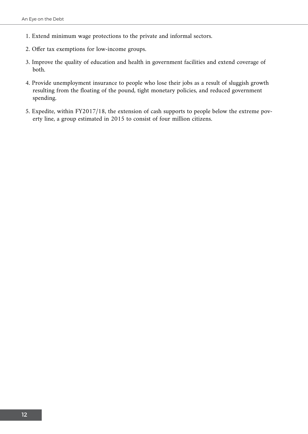- 1. Extend minimum wage protections to the private and informal sectors.
- 2. Offer tax exemptions for low-income groups.
- 3. Improve the quality of education and health in government facilities and extend coverage of both.
- 4. Provide unemployment insurance to people who lose their jobs as a result of sluggish growth resulting from the floating of the pound, tight monetary policies, and reduced government spending.
- 5. Expedite, within FY2017/18, the extension of cash supports to people below the extreme poverty line, a group estimated in 2015 to consist of four million citizens.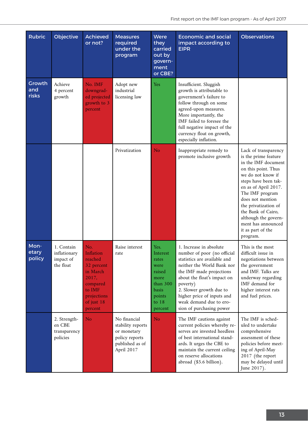| <b>Rubric</b>                 | Objective                                            | <b>Achieved</b><br>or not?                                                                                                          | <b>Measures</b><br>required<br>under the<br>program                                                 | Were<br>they<br>carried<br>out by<br>govern-<br>ment<br>or CBE?                                          | <b>Economic and social</b><br>impact according to<br><b>EIPR</b>                                                                                                                                                                                                                                            | <b>Observations</b>                                                                                                                                                                                                                                                                                                                 |
|-------------------------------|------------------------------------------------------|-------------------------------------------------------------------------------------------------------------------------------------|-----------------------------------------------------------------------------------------------------|----------------------------------------------------------------------------------------------------------|-------------------------------------------------------------------------------------------------------------------------------------------------------------------------------------------------------------------------------------------------------------------------------------------------------------|-------------------------------------------------------------------------------------------------------------------------------------------------------------------------------------------------------------------------------------------------------------------------------------------------------------------------------------|
| Growth<br>and<br><b>risks</b> | Achieve<br>4 percent<br>growth                       | No. IMF<br>downgrad-<br>ed projected<br>growth to 3<br>percent                                                                      | Adopt new<br>industrial<br>licensing law                                                            | <b>Yes</b>                                                                                               | Insufficient. Sluggish<br>growth is attributable to<br>government's failure to<br>follow through on some<br>agreed-upon measures.<br>More importantly, the<br>IMF failed to foresee the<br>full negative impact of the<br>currency float on growth,<br>especially inflation.                                |                                                                                                                                                                                                                                                                                                                                     |
|                               |                                                      |                                                                                                                                     | Privatization                                                                                       | N <sub>o</sub>                                                                                           | Inappropriate remedy to<br>promote inclusive growth                                                                                                                                                                                                                                                         | Lack of transparency<br>is the prime feature<br>in the IMF document<br>on this point. Thus<br>we do not know if<br>steps have been tak-<br>en as of April 2017.<br>The IMF program<br>does not mention<br>the privatization of<br>the Bank of Cairo,<br>although the govern-<br>ment has announced<br>it as part of the<br>program. |
| Mon-<br>etary<br>policy       | 1. Contain<br>inflationary<br>impact of<br>the float | No.<br><b>Inflation</b><br>reached<br>32 percent<br>in March<br>2017,<br>compared<br>to IMF<br>projections<br>of just 18<br>percent | Raise interest<br>rate                                                                              | Yes.<br>Interest<br>rates<br>were<br>raised<br>more<br>than 300<br>basis<br>points<br>to $18$<br>percent | 1. Increase in absolute<br>number of poor (no official<br>statistics are available and<br>neither the World Bank nor<br>the IMF made projections<br>about the float's impact on<br>poverty)<br>2. Slower growth due to<br>higher price of inputs and<br>weak demand due to ero-<br>sion of purchasing power | This is the most<br>difficult issue in<br>negotiations between<br>the government<br>and IMF. Talks are<br>underway regarding<br>IMF demand for<br>higher interest rats<br>and fuel prices.                                                                                                                                          |
|                               | 2. Strength-<br>en CBE<br>transparency<br>policies   | No                                                                                                                                  | No financial<br>stability reports<br>or monetary<br>policy reports<br>published as of<br>April 2017 | N <sub>o</sub>                                                                                           | The IMF cautions against<br>current policies whereby re-<br>serves are invested heedless<br>of best international stand-<br>ards. It urges the CBE to<br>maintain the current ceiling<br>on reserve allocations<br>abroad (\$5.6 billion).                                                                  | The IMF is sched-<br>uled to undertake<br>comprehensive<br>assessment of these<br>policies before meet-<br>ing of April-May<br>2017 (the report<br>may be delayed until<br>June 2017).                                                                                                                                              |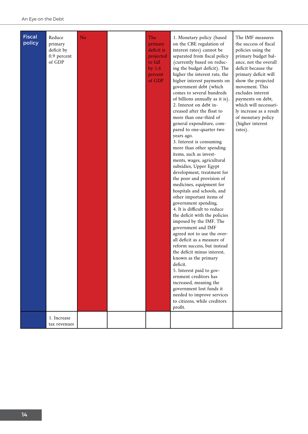| <b>Fiscal</b><br>policy | Reduce<br>primary<br>deficit by<br>0.9 percent<br>of GDP | No | The<br>primary<br>deficit is<br>projected<br>to fall<br>by 1.6<br>percent<br>of GDP | 1. Monetary policy (based<br>on the CBE regulation of<br>interest rates) cannot be<br>separated from fiscal policy<br>(currently based on reduc-<br>ing the budget deficit). The<br>higher the interest rate, the<br>higher interest payments on<br>government debt (which<br>comes to several hundreds<br>of billions annually as it is).<br>2. Interest on debt in-<br>creased after the float to<br>more than one-third of<br>general expenditure, com-<br>pared to one-quarter two<br>years ago.<br>3. Interest is consuming<br>more than other spending<br>items, such as invest-<br>ments, wages, agricultural<br>subsidies, Upper Egypt<br>development, treatment for<br>the poor and provision of<br>medicines, equipment for<br>hospitals and schools, and<br>other important items of<br>government spending.<br>4. It is difficult to reduce<br>the deficit with the policies<br>imposed by the IMF. The<br>government and IMF<br>agreed not to use the over-<br>all deficit as a measure of<br>reform success, but instead<br>the deficit minus interest,<br>known as the primary<br>deficit.<br>5. Interest paid to gov-<br>ernment creditors has<br>increased, meaning the<br>government lost funds it<br>needed to improve services<br>to citizens, while creditors<br>profit. | The IMF measures<br>the success of fiscal<br>policies using the<br>primary budget bal-<br>ance, not the overall<br>deficit because the<br>primary deficit will<br>show the projected<br>movement. This<br>excludes interest<br>payments on debt,<br>which will necessari-<br>ly increase as a result<br>of monetary policy<br>(higher interest<br>rates). |
|-------------------------|----------------------------------------------------------|----|-------------------------------------------------------------------------------------|-----------------------------------------------------------------------------------------------------------------------------------------------------------------------------------------------------------------------------------------------------------------------------------------------------------------------------------------------------------------------------------------------------------------------------------------------------------------------------------------------------------------------------------------------------------------------------------------------------------------------------------------------------------------------------------------------------------------------------------------------------------------------------------------------------------------------------------------------------------------------------------------------------------------------------------------------------------------------------------------------------------------------------------------------------------------------------------------------------------------------------------------------------------------------------------------------------------------------------------------------------------------------------------------------|-----------------------------------------------------------------------------------------------------------------------------------------------------------------------------------------------------------------------------------------------------------------------------------------------------------------------------------------------------------|
|                         | 1. Increase<br>tax revenues                              |    |                                                                                     |                                                                                                                                                                                                                                                                                                                                                                                                                                                                                                                                                                                                                                                                                                                                                                                                                                                                                                                                                                                                                                                                                                                                                                                                                                                                                               |                                                                                                                                                                                                                                                                                                                                                           |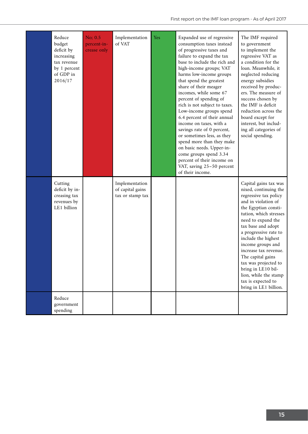| Reduce<br>budget<br>deficit by<br>increasing<br>tax revenue<br>by 1 percent<br>of GDP in<br>2016/17 | No: 0.5<br>percent-in-<br>crease only | Implementation<br>of VAT                               | Yes | Expanded use of regressive<br>consumption taxes instead<br>of progressive taxes and<br>failure to expand the tax<br>base to include the rich and<br>high-income groups; VAT<br>harms low-income groups<br>that spend the greatest<br>share of their meager<br>incomes, while some 67<br>percent of spending of<br>rich is not subject to taxes.<br>Low-income groups spend<br>6.4 percent of their annual<br>income on taxes, with a<br>savings rate of 0 percent,<br>or sometimes less, as they<br>spend more than they make<br>on basic needs. Upper-in-<br>come groups spend 3.34<br>percent of their income on<br>VAT, saving 25-50 percent<br>of their income. | The IMF required<br>to government<br>to implement the<br>regressive VAT as<br>a condition for the<br>loan. Meanwhile, it<br>neglected reducing<br>energy subsidies<br>received by produc-<br>ers. The measure of<br>success chosen by<br>the IMF is deficit<br>reduction across the<br>board except for<br>interest, but includ-<br>ing all categories of<br>social spending.                                                         |
|-----------------------------------------------------------------------------------------------------|---------------------------------------|--------------------------------------------------------|-----|---------------------------------------------------------------------------------------------------------------------------------------------------------------------------------------------------------------------------------------------------------------------------------------------------------------------------------------------------------------------------------------------------------------------------------------------------------------------------------------------------------------------------------------------------------------------------------------------------------------------------------------------------------------------|---------------------------------------------------------------------------------------------------------------------------------------------------------------------------------------------------------------------------------------------------------------------------------------------------------------------------------------------------------------------------------------------------------------------------------------|
| Cutting<br>deficit by in-<br>creasing tax<br>revenues by<br>LE1 billion                             |                                       | Implementation<br>of capital gains<br>tax or stamp tax |     |                                                                                                                                                                                                                                                                                                                                                                                                                                                                                                                                                                                                                                                                     | Capital gains tax was<br>nixed, continuing the<br>regressive tax policy<br>and in violation of<br>the Egyptian consti-<br>tution, which stresses<br>need to expand the<br>tax base and adopt<br>a progressive rate to<br>include the highest<br>income groups and<br>increase tax revenue.<br>The capital gains<br>tax was projected to<br>bring in LE10 bil-<br>lion, while the stamp<br>tax is expected to<br>bring in LE1 billion. |
| Reduce<br>government<br>spending                                                                    |                                       |                                                        |     |                                                                                                                                                                                                                                                                                                                                                                                                                                                                                                                                                                                                                                                                     |                                                                                                                                                                                                                                                                                                                                                                                                                                       |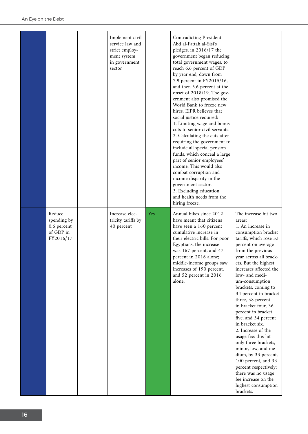|                                                                | Implement civil<br>service law and<br>strict employ-<br>ment system<br>in government<br>sector |            | <b>Contradicting President</b><br>Abd al-Fattah al-Sisi's<br>pledges, in $2016/17$ the<br>government began reducing<br>total government wages, to<br>reach 6.6 percent of GDP<br>by year end, down from<br>7.9 percent in FY2015/16,<br>and then 5.6 percent at the<br>onset of $2018/19$ . The gov-<br>ernment also promised the<br>World Bank to freeze new<br>hires. EIPR believes that<br>social justice required:<br>1. Limiting wage and bonus<br>cuts to senior civil servants.<br>2. Calculating the cuts after<br>requiring the government to<br>include all special pension<br>funds, which conceal a large<br>part of senior employees'<br>income. This would also<br>combat corruption and<br>income disparity in the<br>government sector.<br>3. Excluding education<br>and health needs from the |                                                                                                                                                                                                                                                                                                                                                                                                                                                                                                                                                                                                                                                                                   |
|----------------------------------------------------------------|------------------------------------------------------------------------------------------------|------------|----------------------------------------------------------------------------------------------------------------------------------------------------------------------------------------------------------------------------------------------------------------------------------------------------------------------------------------------------------------------------------------------------------------------------------------------------------------------------------------------------------------------------------------------------------------------------------------------------------------------------------------------------------------------------------------------------------------------------------------------------------------------------------------------------------------|-----------------------------------------------------------------------------------------------------------------------------------------------------------------------------------------------------------------------------------------------------------------------------------------------------------------------------------------------------------------------------------------------------------------------------------------------------------------------------------------------------------------------------------------------------------------------------------------------------------------------------------------------------------------------------------|
| Reduce<br>spending by<br>0.6 percent<br>of GDP in<br>FY2016/17 | Increase elec-<br>tricity tariffs by<br>40 percent                                             | <b>Yes</b> | hiring freeze.<br>Annual hikes since 2012<br>have meant that citizens<br>have seen a 160 percent<br>cumulative increase in<br>their electric bills. For poor<br>Egyptians, the increase<br>was 167 percent, and 47<br>percent in 2016 alone;<br>middle-income groups saw<br>increases of 190 percent,<br>and 52 percent in 2016<br>alone.                                                                                                                                                                                                                                                                                                                                                                                                                                                                      | The increase hit two<br>areas:<br>1. An increase in<br>consumption bracket<br>tariffs, which rose 33<br>percent on average<br>from the previous<br>year across all brack-<br>ets. But the highest<br>increases affected the<br>low- and medi-<br>um-consumption<br>brackets, coming to<br>34 percent in bracket<br>three, 38 percent<br>in bracket four, 36<br>percent in bracket<br>five, and 34 percent<br>in bracket six.<br>2. Increase of the<br>usage fee: this hit<br>only three brackets,<br>minor, low, and me-<br>dium, by 33 percent,<br>100 percent, and 33<br>percent respectively;<br>there was no usage<br>fee increase on the<br>highest consumption<br>brackets. |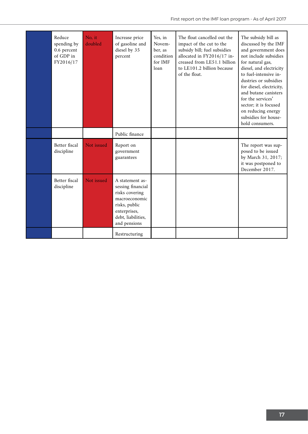| Reduce<br>spending by<br>0.6 percent<br>of GDP in<br>FY2016/17 | No, it<br>doubled | Increase price<br>of gasoline and<br>diesel by 35<br>percent                                                                                   | Yes, in<br>Novem-<br>ber, as<br>condition<br>for IMF<br>loan | The float cancelled out the<br>impact of the cut to the<br>subsidy bill; fuel subsidies<br>allocated in FY2016/17 in-<br>creased from LE51.1 billion<br>to LE101.2 billion because<br>of the float. | The subsidy bill as<br>discussed by the IMF<br>and government does<br>not include subsidies<br>for natural gas,<br>diesel, and electricity<br>to fuel-intensive in-<br>dustries or subsidies<br>for diesel, electricity,<br>and butane canisters<br>for the services'<br>sector; it is focused<br>on reducing energy<br>subsidies for house-<br>hold consumers. |
|----------------------------------------------------------------|-------------------|------------------------------------------------------------------------------------------------------------------------------------------------|--------------------------------------------------------------|-----------------------------------------------------------------------------------------------------------------------------------------------------------------------------------------------------|-----------------------------------------------------------------------------------------------------------------------------------------------------------------------------------------------------------------------------------------------------------------------------------------------------------------------------------------------------------------|
|                                                                |                   | Public finance                                                                                                                                 |                                                              |                                                                                                                                                                                                     |                                                                                                                                                                                                                                                                                                                                                                 |
| Better fiscal<br>discipline                                    | Not issued        | Report on<br>government<br>guarantees                                                                                                          |                                                              |                                                                                                                                                                                                     | The report was sup-<br>posed to be issued<br>by March 31, 2017;<br>it was postponed to<br>December 2017.                                                                                                                                                                                                                                                        |
| Better fiscal<br>discipline                                    | Not issued        | A statement as-<br>sessing financial<br>risks covering<br>macroeconomic<br>risks, public<br>enterprises,<br>debt, liabilities,<br>and pensions |                                                              |                                                                                                                                                                                                     |                                                                                                                                                                                                                                                                                                                                                                 |
|                                                                |                   | Restructuring                                                                                                                                  |                                                              |                                                                                                                                                                                                     |                                                                                                                                                                                                                                                                                                                                                                 |